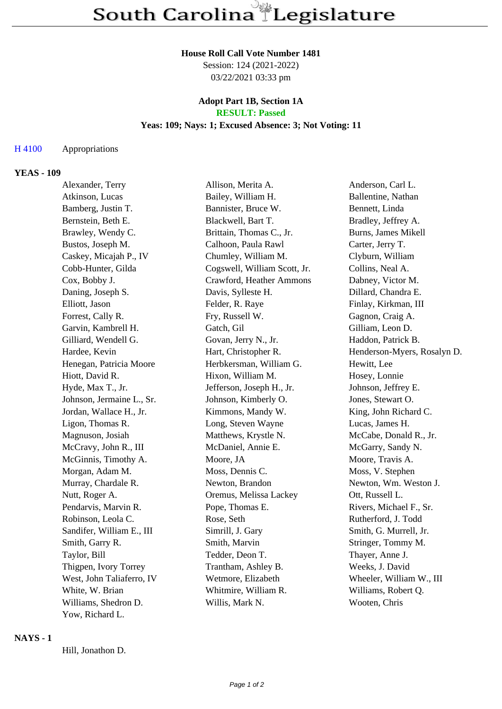#### **House Roll Call Vote Number 1481**

Session: 124 (2021-2022) 03/22/2021 03:33 pm

#### **Adopt Part 1B, Section 1A RESULT: Passed**

## **Yeas: 109; Nays: 1; Excused Absence: 3; Not Voting: 11**

### H 4100 Appropriations

#### **YEAS - 109**

| Alexander, Terry          | Allison, Merita A.           | Anderson, Carl L.           |
|---------------------------|------------------------------|-----------------------------|
| Atkinson, Lucas           | Bailey, William H.           | Ballentine, Nathan          |
| Bamberg, Justin T.        | Bannister, Bruce W.          | Bennett, Linda              |
| Bernstein, Beth E.        | Blackwell, Bart T.           | Bradley, Jeffrey A.         |
| Brawley, Wendy C.         | Brittain, Thomas C., Jr.     | Burns, James Mikell         |
| Bustos, Joseph M.         | Calhoon, Paula Rawl          | Carter, Jerry T.            |
| Caskey, Micajah P., IV    | Chumley, William M.          | Clyburn, William            |
| Cobb-Hunter, Gilda        | Cogswell, William Scott, Jr. | Collins, Neal A.            |
| Cox, Bobby J.             | Crawford, Heather Ammons     | Dabney, Victor M.           |
| Daning, Joseph S.         | Davis, Sylleste H.           | Dillard, Chandra E.         |
| Elliott, Jason            | Felder, R. Raye              | Finlay, Kirkman, III        |
| Forrest, Cally R.         | Fry, Russell W.              | Gagnon, Craig A.            |
| Garvin, Kambrell H.       | Gatch, Gil                   | Gilliam, Leon D.            |
| Gilliard, Wendell G.      | Govan, Jerry N., Jr.         | Haddon, Patrick B.          |
| Hardee, Kevin             | Hart, Christopher R.         | Henderson-Myers, Rosalyn D. |
| Henegan, Patricia Moore   | Herbkersman, William G.      | Hewitt, Lee                 |
| Hiott, David R.           | Hixon, William M.            | Hosey, Lonnie               |
| Hyde, Max T., Jr.         | Jefferson, Joseph H., Jr.    | Johnson, Jeffrey E.         |
| Johnson, Jermaine L., Sr. | Johnson, Kimberly O.         | Jones, Stewart O.           |
| Jordan, Wallace H., Jr.   | Kimmons, Mandy W.            | King, John Richard C.       |
| Ligon, Thomas R.          | Long, Steven Wayne           | Lucas, James H.             |
| Magnuson, Josiah          | Matthews, Krystle N.         | McCabe, Donald R., Jr.      |
| McCravy, John R., III     | McDaniel, Annie E.           | McGarry, Sandy N.           |
| McGinnis, Timothy A.      | Moore, JA                    | Moore, Travis A.            |
| Morgan, Adam M.           | Moss, Dennis C.              | Moss, V. Stephen            |
| Murray, Chardale R.       | Newton, Brandon              | Newton, Wm. Weston J.       |
| Nutt, Roger A.            | Oremus, Melissa Lackey       | Ott, Russell L.             |
| Pendarvis, Marvin R.      | Pope, Thomas E.              | Rivers, Michael F., Sr.     |
| Robinson, Leola C.        | Rose, Seth                   | Rutherford, J. Todd         |
| Sandifer, William E., III | Simrill, J. Gary             | Smith, G. Murrell, Jr.      |
| Smith, Garry R.           | Smith, Marvin                | Stringer, Tommy M.          |
| Taylor, Bill              | Tedder, Deon T.              | Thayer, Anne J.             |
| Thigpen, Ivory Torrey     | Trantham, Ashley B.          | Weeks, J. David             |
| West, John Taliaferro, IV | Wetmore, Elizabeth           | Wheeler, William W., III    |
| White, W. Brian           | Whitmire, William R.         | Williams, Robert Q.         |
| Williams, Shedron D.      | Willis, Mark N.              | Wooten, Chris               |
| Yow, Richard L.           |                              |                             |

#### **NAYS - 1**

Hill, Jonathon D.